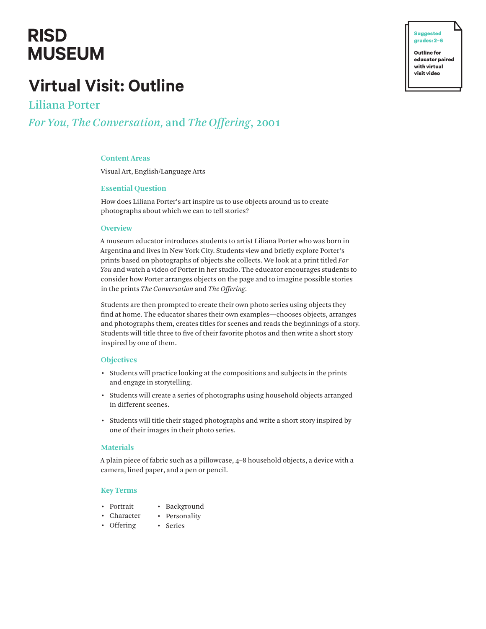# **RISD MUSEUM**

# **Virtual Visit: Outline**

Liliana Porter *For You, The Conversation,* and *The Offering*, 2001

# **Content Areas**

Visual Art, English/Language Arts

# **Essential Question**

How does Liliana Porter's art inspire us to use objects around us to create photographs about which we can to tell stories?

#### **Overview**

A museum educator introduces students to artist Liliana Porter who was born in Argentina and lives in New York City. Students view and briefly explore Porter's prints based on photographs of objects she collects. We look at a print titled *For You* and watch a video of Porter in her studio. The educator encourages students to consider how Porter arranges objects on the page and to imagine possible stories in the prints *The Conversation* and *The Offering*.

Students are then prompted to create their own photo series using objects they find at home. The educator shares their own examples—chooses objects, arranges and photographs them, creates titles for scenes and reads the beginnings of a story. Students will title three to five of their favorite photos and then write a short story inspired by one of them.

# **Objectives**

- Students will practice looking at the compositions and subjects in the prints and engage in storytelling.
- Students will create a series of photographs using household objects arranged in different scenes.
- Students will title their staged photographs and write a short story inspired by one of their images in their photo series.

# **Materials**

A plain piece of fabric such as a pillowcase, 4–8 household objects, a device with a camera, lined paper, and a pen or pencil.

#### **Key Terms**

- Portrait • Background
- Character • Personality
- Offering • Series

**Outline for educator paired with virtual visit video**